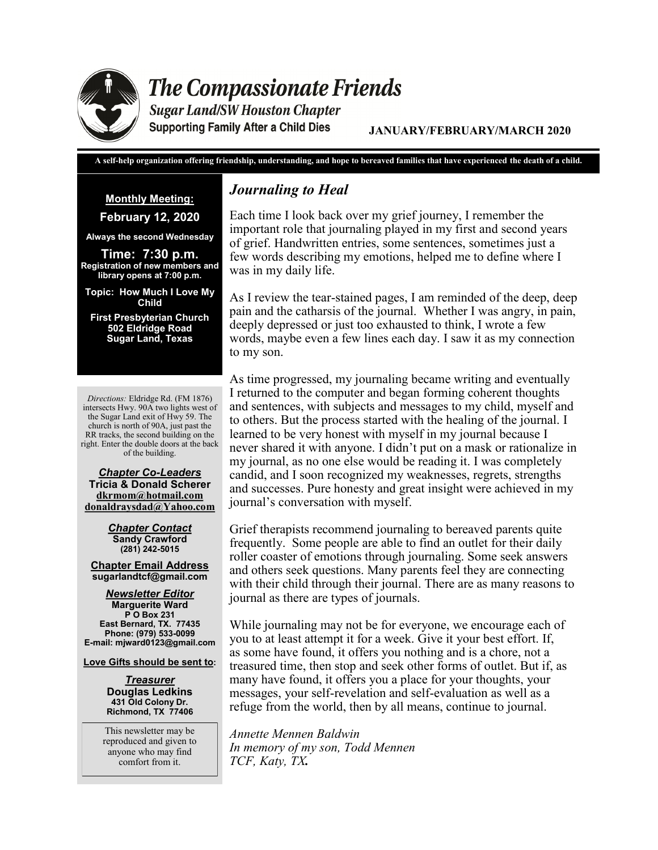

# **The Compassionate Friends**

**Sugar Land/SW Houston Chapter Supporting Family After a Child Dies** 

**JANUARY/FEBRUARY/MARCH 2020**

**A self-help organization offering friendship, understanding, and hope to bereaved families that have experienced the death of a child.**

**Monthly Meeting:** 

**February 12, 2020**

**Always the second Wednesday**

**Time: 7:30 p.m. Registration of new members and library opens at 7:00 p.m.** 

**Topic: How Much I Love My Child**

**First Presbyterian Church 502 Eldridge Road Sugar Land, Texas**

*Directions:* Eldridge Rd. (FM 1876) intersects Hwy. 90A two lights west of the Sugar Land exit of Hwy 59. The church is north of 90A, just past the RR tracks, the second building on the right. Enter the double doors at the back of the building.

*Chapter Co-Leaders* **Tricia & Donald Scherer dkrmom@hotmail.com donaldraysdad@Yahoo.com**

> *Chapter Contact* **Sandy Crawford (281) 242-5015**

**Chapter Email Address sugarlandtcf@gmail.com**

*Newsletter Editor* **Marguerite Ward P O Box 231 East Bernard, TX. 77435 Phone: (979) 533-0099 E-mail: mjward0123@gmail.com**

**Love Gifts should be sent to:**

*Treasurer* **Douglas Ledkins 431 Old Colony Dr. Richmond, TX 77406**

This newsletter may be reproduced and given to anyone who may find comfort from it.

# *Journaling to Heal*

Each time I look back over my grief journey, I remember the important role that journaling played in my first and second years of grief. Handwritten entries, some sentences, sometimes just a few words describing my emotions, helped me to define where I was in my daily life.

As I review the tear-stained pages, I am reminded of the deep, deep pain and the catharsis of the journal. Whether I was angry, in pain, deeply depressed or just too exhausted to think, I wrote a few words, maybe even a few lines each day. I saw it as my connection to my son.

As time progressed, my journaling became writing and eventually I returned to the computer and began forming coherent thoughts and sentences, with subjects and messages to my child, myself and to others. But the process started with the healing of the journal. I learned to be very honest with myself in my journal because I never shared it with anyone. I didn't put on a mask or rationalize in my journal, as no one else would be reading it. I was completely candid, and I soon recognized my weaknesses, regrets, strengths and successes. Pure honesty and great insight were achieved in my journal's conversation with myself.

Grief therapists recommend journaling to bereaved parents quite frequently. Some people are able to find an outlet for their daily roller coaster of emotions through journaling. Some seek answers and others seek questions. Many parents feel they are connecting with their child through their journal. There are as many reasons to journal as there are types of journals.

While journaling may not be for everyone, we encourage each of you to at least attempt it for a week. Give it your best effort. If, as some have found, it offers you nothing and is a chore, not a treasured time, then stop and seek other forms of outlet. But if, as many have found, it offers you a place for your thoughts, your messages, your self-revelation and self-evaluation as well as a refuge from the world, then by all means, continue to journal.

*Annette Mennen Baldwin In memory of my son, Todd Mennen TCF, Katy, TX.*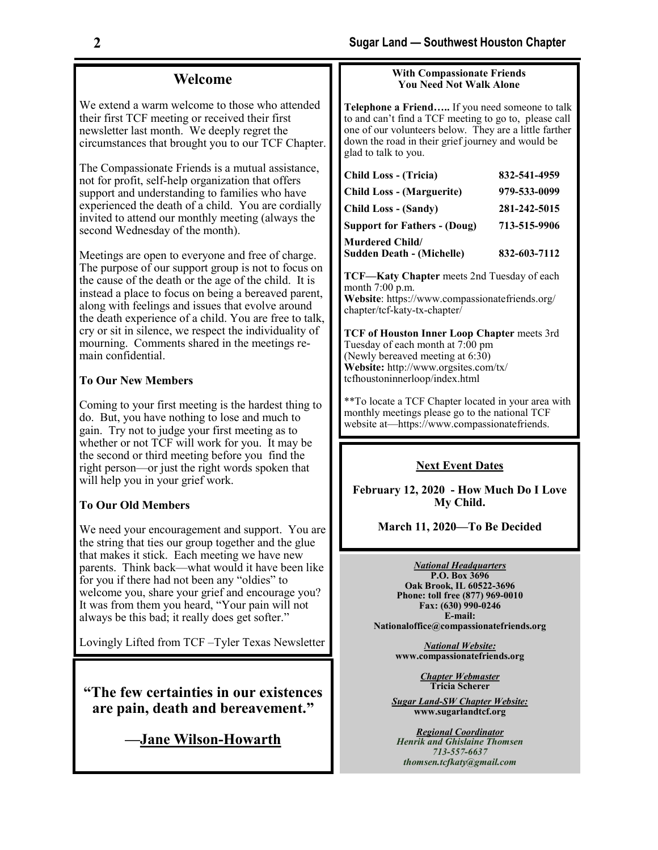#### **Welcome**

We extend a warm welcome to those who attended their first TCF meeting or received their first newsletter last month. We deeply regret the circumstances that brought you to our TCF Chapter.

The Compassionate Friends is a mutual assistance, not for profit, self-help organization that offers support and understanding to families who have experienced the death of a child. You are cordially invited to attend our monthly meeting (always the second Wednesday of the month).

Meetings are open to everyone and free of charge. The purpose of our support group is not to focus on the cause of the death or the age of the child. It is instead a place to focus on being a bereaved parent, along with feelings and issues that evolve around the death experience of a child. You are free to talk, cry or sit in silence, we respect the individuality of mourning. Comments shared in the meetings remain confidential.

#### **To Our New Members**

Coming to your first meeting is the hardest thing to do. But, you have nothing to lose and much to gain. Try not to judge your first meeting as to whether or not TCF will work for you. It may be the second or third meeting before you find the right person—or just the right words spoken that will help you in your grief work.

#### **To Our Old Members**

We need your encouragement and support. You are the string that ties our group together and the glue that makes it stick. Each meeting we have new parents. Think back—what would it have been like for you if there had not been any "oldies" to welcome you, share your grief and encourage you? It was from them you heard, "Your pain will not always be this bad; it really does get softer."

Lovingly Lifted from TCF –Tyler Texas Newsletter

**"The few certainties in our existences are pain, death and bereavement."** 

**[—Jane Wilson](https://en.wikipedia.org/wiki/Jane_Wilson-Howarth)-Howarth**

#### **With Compassionate Friends You Need Not Walk Alone**

**Telephone a Friend…..** If you need someone to talk to and can't find a TCF meeting to go to, please call one of our volunteers below. They are a little farther down the road in their grief journey and would be glad to talk to you.

| <b>Child Loss - (Tricia)</b>        | 832-541-4959 |
|-------------------------------------|--------------|
| <b>Child Loss - (Marguerite)</b>    | 979-533-0099 |
| <b>Child Loss - (Sandy)</b>         | 281-242-5015 |
| <b>Support for Fathers - (Doug)</b> | 713-515-9906 |
| <b>Murdered Child/</b>              |              |
| <b>Sudden Death - (Michelle)</b>    | 832-603-7112 |

**TCF—Katy Chapter** meets 2nd Tuesday of each month 7:00 p.m. **Website**: https://www.compassionatefriends.org/ chapter/tcf-katy-tx-chapter/

**TCF of Houston Inner Loop Chapter** meets 3rd Tuesday of each month at 7:00 pm (Newly bereaved meeting at 6:30) **Website:** http://www.orgsites.com/tx/ tcfhoustoninnerloop/index.html

\*\*To locate a TCF Chapter located in your area with monthly meetings please go to the national TCF website at—https://www.compassionatefriends.

#### **Next Event Dates**

**February 12, 2020 - How Much Do I Love My Child.**

**March 11, 2020—To Be Decided**

*National Headquarters*

**P.O. Box 3696 Oak Brook, IL 60522-3696 Phone: toll free (877) 969-0010 Fax: (630) 990-0246 E-mail: Nationaloffice@compassionatefriends.org**

> *National Website:*  **www.compassionatefriends.org**

> > *Chapter Webmaster* **Tricia Scherer**

*Sugar Land-SW Chapter Website:* **www.sugarlandtcf.org**

*Regional Coordinator Henrik and Ghislaine Thomsen 713-557-6637 thomsen.tcfkaty@gmail.com*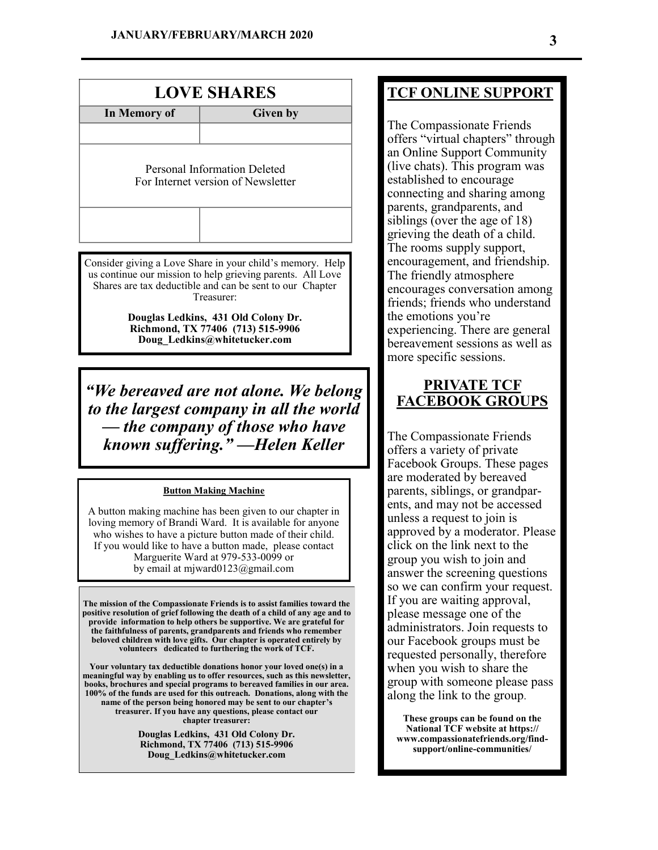| <b>LOVE SHARES</b>                                                 |                 |  |  |  |  |
|--------------------------------------------------------------------|-----------------|--|--|--|--|
| In Memory of                                                       | <b>Given by</b> |  |  |  |  |
|                                                                    |                 |  |  |  |  |
| Personal Information Deleted<br>For Internet version of Newsletter |                 |  |  |  |  |
|                                                                    |                 |  |  |  |  |

Consider giving a Love Share in your child's memory. Help us continue our mission to help grieving parents. All Love Shares are tax deductible and can be sent to our Chapter Treasurer:

> **Douglas Ledkins, 431 Old Colony Dr. Richmond, TX 77406 (713) 515-9906 Doug\_Ledkins@whitetucker.com**

*"We bereaved are not alone. We belong to the largest company in all the world — the company of those who have known suffering." —[Helen Keller](https://en.wikipedia.org/wiki/Helen_Keller)*

#### **Button Making Machine**

A button making machine has been given to our chapter in loving memory of Brandi Ward. It is available for anyone who wishes to have a picture button made of their child. If you would like to have a button made, please contact Marguerite Ward at 979-533-0099 or by email at mjward0123@gmail.com

**The mission of the Compassionate Friends is to assist families toward the positive resolution of grief following the death of a child of any age and to provide information to help others be supportive. We are grateful for the faithfulness of parents, grandparents and friends who remember beloved children with love gifts. Our chapter is operated entirely by volunteers dedicated to furthering the work of TCF.** 

**Your voluntary tax deductible donations honor your loved one(s) in a meaningful way by enabling us to offer resources, such as this newsletter, books, brochures and special programs to bereaved families in our area. 100% of the funds are used for this outreach. Donations, along with the name of the person being honored may be sent to our chapter's treasurer. If you have any questions, please contact our chapter treasurer:** 

> **Douglas Ledkins, 431 Old Colony Dr. Richmond, TX 77406 (713) 515-9906 Doug\_Ledkins@whitetucker.com**

## **TCF ONLINE SUPPORT**

The Compassionate Friends offers "virtual chapters" through an Online Support Community (live chats). This program was established to encourage connecting and sharing among parents, grandparents, and siblings (over the age of 18) grieving the death of a child. The rooms supply support, encouragement, and friendship. The friendly atmosphere encourages conversation among friends; friends who understand the emotions you're experiencing. There are general bereavement sessions as well as more specific sessions.

### **PRIVATE TCF FACEBOOK GROUPS**

The Compassionate Friends offers a variety of private Facebook Groups. These pages are moderated by bereaved parents, siblings, or grandparents, and may not be accessed unless a request to join is approved by a moderator. Please click on the link next to the group you wish to join and answer the screening questions so we can confirm your request. If you are waiting approval, please message one of the administrators. Join requests to our Facebook groups must be requested personally, therefore when you wish to share the group with someone please pass along the link to the group.

**These groups can be found on the National TCF website at https:// www.compassionatefriends.org/findsupport/online-communities/**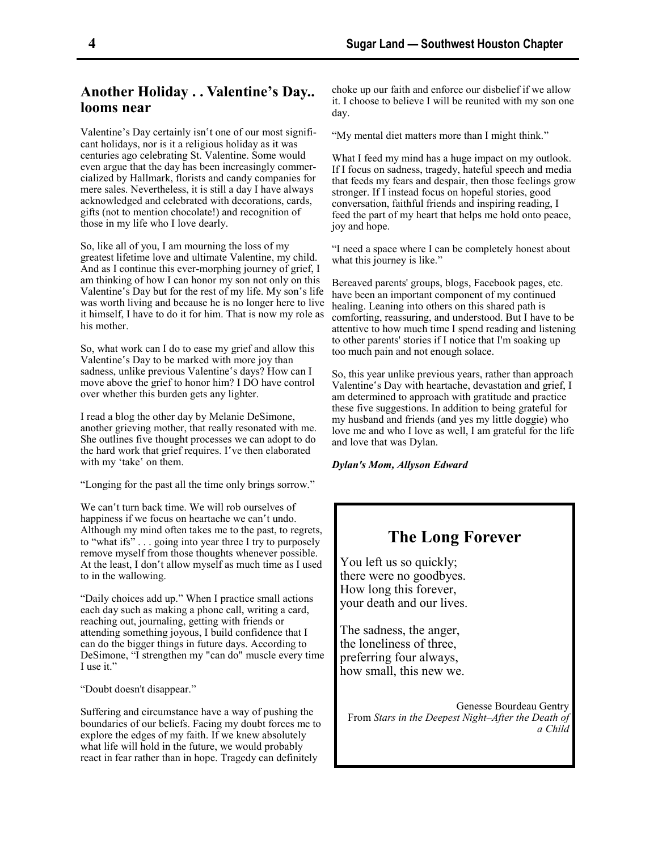### **Another Holiday . . Valentine's Day.. looms near**

Valentine's Day certainly isn't one of our most significant holidays, nor is it a religious holiday as it was centuries ago celebrating St. Valentine. Some would even argue that the day has been increasingly commercialized by Hallmark, florists and candy companies for mere sales. Nevertheless, it is still a day I have always acknowledged and celebrated with decorations, cards, gifts (not to mention chocolate!) and recognition of those in my life who I love dearly.

So, like all of you, I am mourning the loss of my greatest lifetime love and ultimate Valentine, my child. And as I continue this ever-morphing journey of grief, I am thinking of how I can honor my son not only on this Valentine's Day but for the rest of my life. My son's life was worth living and because he is no longer here to live it himself, I have to do it for him. That is now my role as his mother.

So, what work can I do to ease my grief and allow this Valentine's Day to be marked with more joy than sadness, unlike previous Valentine's days? How can I move above the grief to honor him? I DO have control over whether this burden gets any lighter.

I read a blog the other day by Melanie DeSimone, another grieving mother, that really resonated with me. She outlines five thought processes we can adopt to do the hard work that grief requires. I've then elaborated with my 'take' on them.

"Longing for the past all the time only brings sorrow."

We can't turn back time. We will rob ourselves of happiness if we focus on heartache we can't undo. Although my mind often takes me to the past, to regrets, to "what ifs" . . . going into year three I try to purposely remove myself from those thoughts whenever possible. At the least, I don't allow myself as much time as I used to in the wallowing.

"Daily choices add up." When I practice small actions each day such as making a phone call, writing a card, reaching out, journaling, getting with friends or attending something joyous, I build confidence that I can do the bigger things in future days. According to DeSimone, "I strengthen my "can do" muscle every time I use it."

"Doubt doesn't disappear."

Suffering and circumstance have a way of pushing the boundaries of our beliefs. Facing my doubt forces me to explore the edges of my faith. If we knew absolutely what life will hold in the future, we would probably react in fear rather than in hope. Tragedy can definitely

choke up our faith and enforce our disbelief if we allow it. I choose to believe I will be reunited with my son one day.

"My mental diet matters more than I might think."

What I feed my mind has a huge impact on my outlook. If I focus on sadness, tragedy, hateful speech and media that feeds my fears and despair, then those feelings grow stronger. If I instead focus on hopeful stories, good conversation, faithful friends and inspiring reading, I feed the part of my heart that helps me hold onto peace, joy and hope.

"I need a space where I can be completely honest about what this journey is like."

Bereaved parents' groups, blogs, Facebook pages, etc. have been an important component of my continued healing. Leaning into others on this shared path is comforting, reassuring, and understood. But I have to be attentive to how much time I spend reading and listening to other parents' stories if I notice that I'm soaking up too much pain and not enough solace.

So, this year unlike previous years, rather than approach Valentine's Day with heartache, devastation and grief, I am determined to approach with gratitude and practice these five suggestions. In addition to being grateful for my husband and friends (and yes my little doggie) who love me and who I love as well, I am grateful for the life and love that was Dylan.

*Dylan's Mom, Allyson Edward*

## **The Long Forever**

You left us so quickly; there were no goodbyes. How long this forever, your death and our lives.

The sadness, the anger, the loneliness of three, preferring four always, how small, this new we.

Genesse Bourdeau Gentry From *Stars in the Deepest Night–After the Death of a Child*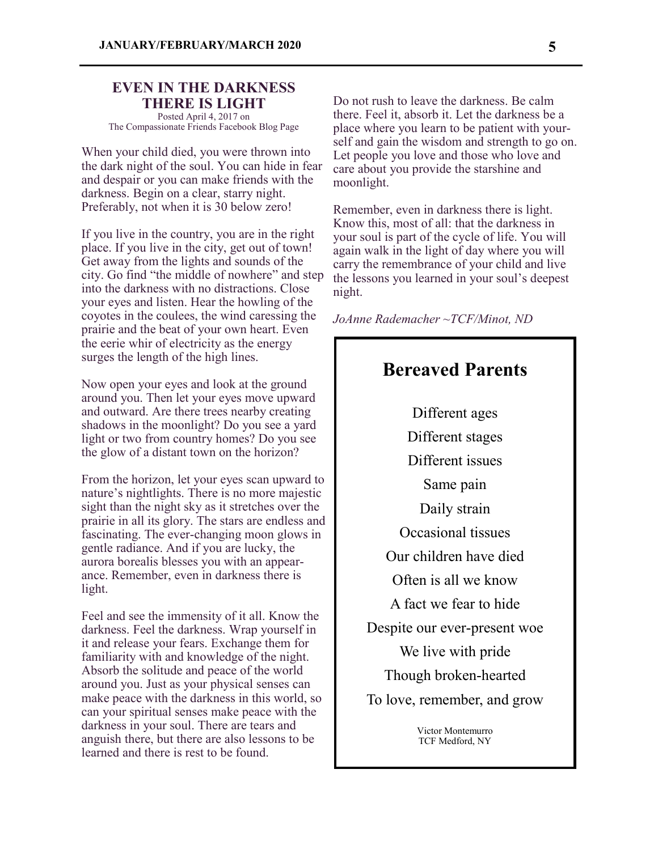#### **EVEN IN THE DARKNESS THERE IS LIGHT**

Posted April 4, 2017 on The Compassionate Friends Facebook Blog Page

When your child died, you were thrown into the dark night of the soul. You can hide in fear and despair or you can make friends with the darkness. Begin on a clear, starry night. Preferably, not when it is 30 below zero!

If you live in the country, you are in the right place. If you live in the city, get out of town! Get away from the lights and sounds of the city. Go find "the middle of nowhere" and step into the darkness with no distractions. Close your eyes and listen. Hear the howling of the coyotes in the coulees, the wind caressing the prairie and the beat of your own heart. Even the eerie whir of electricity as the energy surges the length of the high lines.

Now open your eyes and look at the ground around you. Then let your eyes move upward and outward. Are there trees nearby creating shadows in the moonlight? Do you see a yard light or two from country homes? Do you see the glow of a distant town on the horizon?

From the horizon, let your eyes scan upward to nature's nightlights. There is no more majestic sight than the night sky as it stretches over the prairie in all its glory. The stars are endless and fascinating. The ever-changing moon glows in gentle radiance. And if you are lucky, the aurora borealis blesses you with an appearance. Remember, even in darkness there is light.

Feel and see the immensity of it all. Know the darkness. Feel the darkness. Wrap yourself in it and release your fears. Exchange them for familiarity with and knowledge of the night. Absorb the solitude and peace of the world around you. Just as your physical senses can make peace with the darkness in this world, so can your spiritual senses make peace with the darkness in your soul. There are tears and anguish there, but there are also lessons to be learned and there is rest to be found.

Do not rush to leave the darkness. Be calm there. Feel it, absorb it. Let the darkness be a place where you learn to be patient with yourself and gain the wisdom and strength to go on. Let people you love and those who love and care about you provide the starshine and moonlight.

Remember, even in darkness there is light. Know this, most of all: that the darkness in your soul is part of the cycle of life. You will again walk in the light of day where you will carry the remembrance of your child and live the lessons you learned in your soul's deepest night.

*JoAnne Rademacher ~TCF/Minot, ND*



Victor Montemurro TCF Medford, NY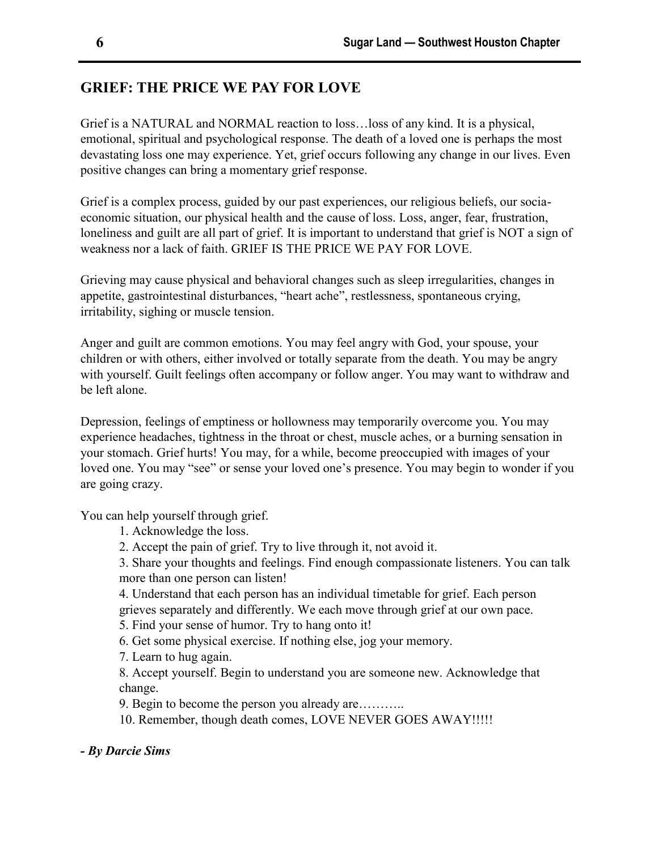# **GRIEF: THE PRICE WE PAY FOR LOVE**

Grief is a NATURAL and NORMAL reaction to loss…loss of any kind. It is a physical, emotional, spiritual and psychological response. The death of a loved one is perhaps the most devastating loss one may experience. Yet, grief occurs following any change in our lives. Even positive changes can bring a momentary grief response.

Grief is a complex process, guided by our past experiences, our religious beliefs, our sociaeconomic situation, our physical health and the cause of loss. Loss, anger, fear, frustration, loneliness and guilt are all part of grief. It is important to understand that grief is NOT a sign of weakness nor a lack of faith. GRIEF IS THE PRICE WE PAY FOR LOVE.

Grieving may cause physical and behavioral changes such as sleep irregularities, changes in appetite, gastrointestinal disturbances, "heart ache", restlessness, spontaneous crying, irritability, sighing or muscle tension.

Anger and guilt are common emotions. You may feel angry with God, your spouse, your children or with others, either involved or totally separate from the death. You may be angry with yourself. Guilt feelings often accompany or follow anger. You may want to withdraw and be left alone.

Depression, feelings of emptiness or hollowness may temporarily overcome you. You may experience headaches, tightness in the throat or chest, muscle aches, or a burning sensation in your stomach. Grief hurts! You may, for a while, become preoccupied with images of your loved one. You may "see" or sense your loved one's presence. You may begin to wonder if you are going crazy.

You can help yourself through grief.

- 1. Acknowledge the loss.
- 2. Accept the pain of grief. Try to live through it, not avoid it.

3. Share your thoughts and feelings. Find enough compassionate listeners. You can talk more than one person can listen!

4. Understand that each person has an individual timetable for grief. Each person grieves separately and differently. We each move through grief at our own pace.

5. Find your sense of humor. Try to hang onto it!

6. Get some physical exercise. If nothing else, jog your memory.

7. Learn to hug again.

8. Accept yourself. Begin to understand you are someone new. Acknowledge that change.

9. Begin to become the person you already are………..

10. Remember, though death comes, LOVE NEVER GOES AWAY!!!!!

*- By Darcie Sims*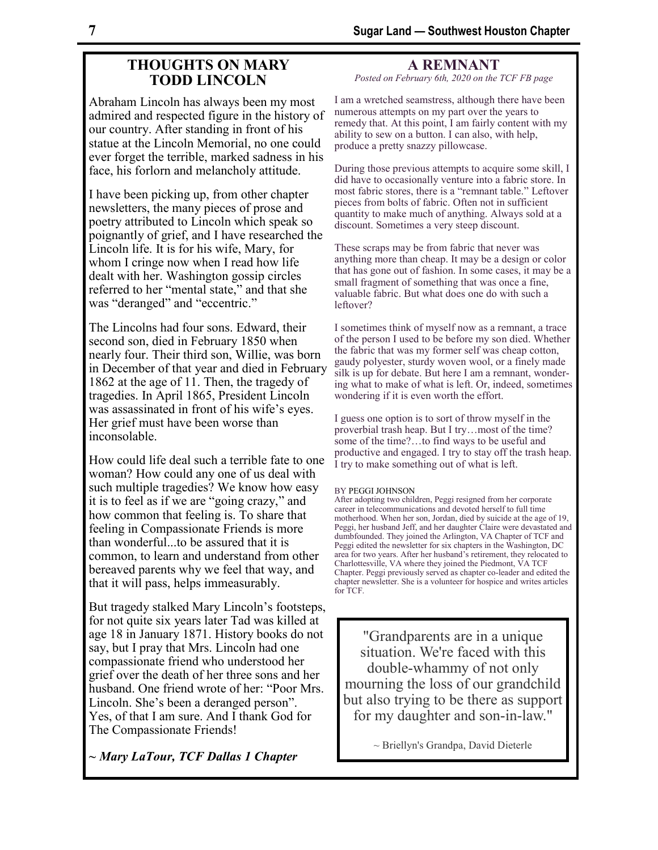### **THOUGHTS ON MARY TODD LINCOLN**

Abraham Lincoln has always been my most admired and respected figure in the history of our country. After standing in front of his statue at the Lincoln Memorial, no one could ever forget the terrible, marked sadness in his face, his forlorn and melancholy attitude.

I have been picking up, from other chapter newsletters, the many pieces of prose and poetry attributed to Lincoln which speak so poignantly of grief, and I have researched the Lincoln life. It is for his wife, Mary, for whom I cringe now when I read how life dealt with her. Washington gossip circles referred to her "mental state," and that she was "deranged" and "eccentric."

The Lincolns had four sons. Edward, their second son, died in February 1850 when nearly four. Their third son, Willie, was born in December of that year and died in February 1862 at the age of 11. Then, the tragedy of tragedies. In April 1865, President Lincoln was assassinated in front of his wife's eyes. Her grief must have been worse than inconsolable.

How could life deal such a terrible fate to one woman? How could any one of us deal with such multiple tragedies? We know how easy it is to feel as if we are "going crazy," and how common that feeling is. To share that feeling in Compassionate Friends is more than wonderful...to be assured that it is common, to learn and understand from other bereaved parents why we feel that way, and that it will pass, helps immeasurably.

But tragedy stalked Mary Lincoln's footsteps, for not quite six years later Tad was killed at age 18 in January 1871. History books do not say, but I pray that Mrs. Lincoln had one compassionate friend who understood her grief over the death of her three sons and her husband. One friend wrote of her: "Poor Mrs. Lincoln. She's been a deranged person". Yes, of that I am sure. And I thank God for The Compassionate Friends!

*~ Mary LaTour, TCF Dallas 1 Chapter* 

**A REMNANT**

*Posted on February 6th, 2020 on the TCF FB page*

I am a wretched seamstress, although there have been numerous attempts on my part over the years to remedy that. At this point, I am fairly content with my ability to sew on a button. I can also, with help, produce a pretty snazzy pillowcase.

During those previous attempts to acquire some skill, I did have to occasionally venture into a fabric store. In most fabric stores, there is a "remnant table." Leftover pieces from bolts of fabric. Often not in sufficient quantity to make much of anything. Always sold at a discount. Sometimes a very steep discount.

These scraps may be from fabric that never was anything more than cheap. It may be a design or color that has gone out of fashion. In some cases, it may be a small fragment of something that was once a fine, valuable fabric. But what does one do with such a leftover?

I sometimes think of myself now as a remnant, a trace of the person I used to be before my son died. Whether the fabric that was my former self was cheap cotton, gaudy polyester, sturdy woven wool, or a finely made silk is up for debate. But here I am a remnant, wondering what to make of what is left. Or, indeed, sometimes wondering if it is even worth the effort.

I guess one option is to sort of throw myself in the proverbial trash heap. But I try…most of the time? some of the time?…to find ways to be useful and productive and engaged. I try to stay off the trash heap. I try to make something out of what is left.

#### BY [PEGGI JOHNSON](https://www.compassionatefriends.org/blog/author/peggi/)

After adopting two children, Peggi resigned from her corporate career in telecommunications and devoted herself to full time motherhood. When her son, Jordan, died by suicide at the age of 19, Peggi, her husband Jeff, and her daughter Claire were devastated and dumbfounded. They joined the Arlington, VA Chapter of TCF and Peggi edited the newsletter for six chapters in the Washington, DC area for two years. After her husband's retirement, they relocated to Charlottesville, VA where they joined the Piedmont, VA TCF Chapter. Peggi previously served as chapter co-leader and edited the chapter newsletter. She is a volunteer for hospice and writes articles for TCF.

"Grandparents are in a unique situation. We're faced with this double-whammy of not only mourning the loss of our grandchild but also trying to be there as support for my daughter and son-in-law."

~ Briellyn's Grandpa, David Dieterle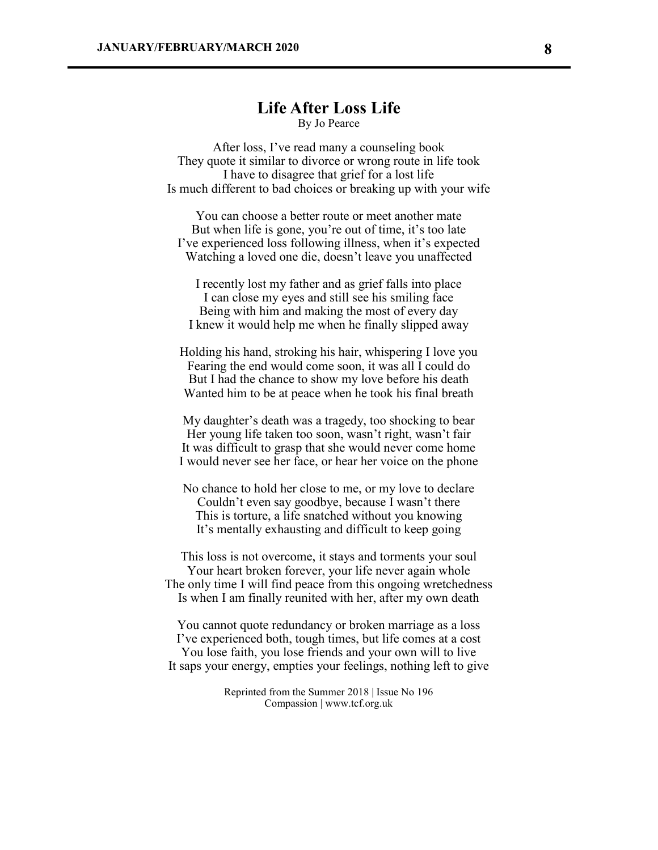### **Life After Loss Life**

By Jo Pearce

After loss, I've read many a counseling book They quote it similar to divorce or wrong route in life took I have to disagree that grief for a lost life Is much different to bad choices or breaking up with your wife

You can choose a better route or meet another mate But when life is gone, you're out of time, it's too late I've experienced loss following illness, when it's expected Watching a loved one die, doesn't leave you unaffected

I recently lost my father and as grief falls into place I can close my eyes and still see his smiling face Being with him and making the most of every day I knew it would help me when he finally slipped away

Holding his hand, stroking his hair, whispering I love you Fearing the end would come soon, it was all I could do But I had the chance to show my love before his death Wanted him to be at peace when he took his final breath

My daughter's death was a tragedy, too shocking to bear Her young life taken too soon, wasn't right, wasn't fair It was difficult to grasp that she would never come home I would never see her face, or hear her voice on the phone

No chance to hold her close to me, or my love to declare Couldn't even say goodbye, because I wasn't there This is torture, a life snatched without you knowing It's mentally exhausting and difficult to keep going

This loss is not overcome, it stays and torments your soul Your heart broken forever, your life never again whole The only time I will find peace from this ongoing wretchedness Is when I am finally reunited with her, after my own death

You cannot quote redundancy or broken marriage as a loss I've experienced both, tough times, but life comes at a cost You lose faith, you lose friends and your own will to live It saps your energy, empties your feelings, nothing left to give

> Reprinted from the Summer 2018 | Issue No 196 Compassion | www.tcf.org.uk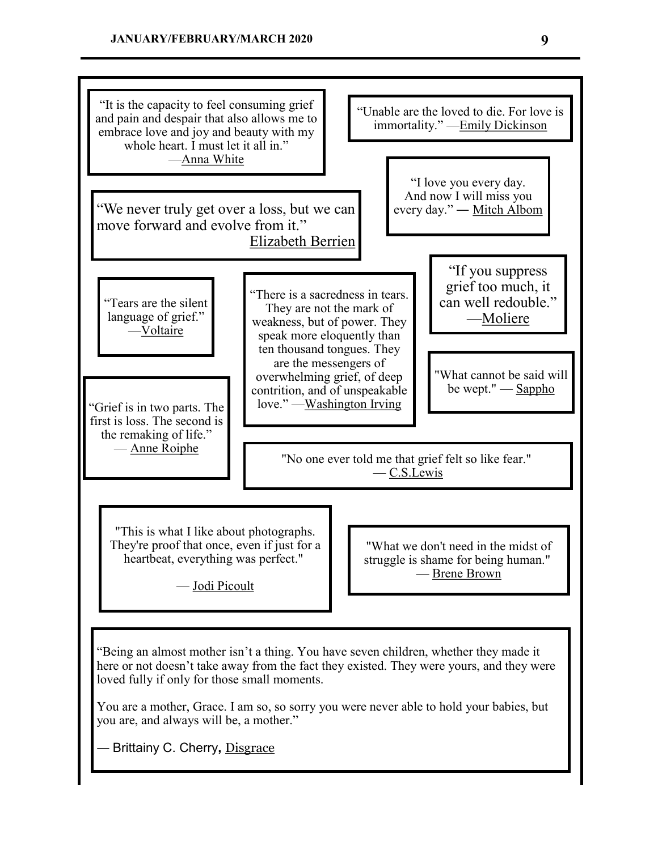#### "It is the capacity to feel consuming grief and pain and despair that also allows me to embrace love and joy and beauty with my whole heart. I must let it all in." —[Anna White](http://www.imdb.com/name/nm1675996/) "We never truly get over a loss, but we can move forward and evolve from it." [Elizabeth Berrien](http://www.wirelady.com/) "Unable are the loved to die. For love is immortality." —[Emily Dickinson](https://www.poets.org/poetsorg/poet/emily-dickinson) "I love you every day. And now I will miss you every day." — [Mitch Albom](http://www.mitchalbom.com/) "If you suppress grief too much, it can well redouble." —[Moliere](https://en.wikipedia.org/wiki/Moli%C3%A8re) "Tears are the silent language of grief." [—Voltaire](https://en.wikipedia.org/wiki/Voltaire) "There is a sacredness in tears. They are not the mark of weakness, but of power. They speak more eloquently than ten thousand tongues. They are the messengers of overwhelming grief, of deep contrition, and of unspeakable<br>love." —Washington Irving "Grief is in two parts. The first is loss. The second is the remaking of life." — [Anne Roiphe](https://en.wikipedia.org/wiki/Anne_Roiphe) "What cannot be said will be wept." — Sappho "No one ever told me that grief felt so like fear." — C.S.Lewis "This is what I like about photographs. They're proof that once, even if just for a heartbeat, everything was perfect." — Jodi Picoult "What we don't need in the midst of struggle is shame for being human." — Brene Brown "Being an almost mother isn't a thing. You have seven children, whether they made it here or not doesn't take away from the fact they existed. They were yours, and they were loved fully if only for those small moments. You are a mother, Grace. I am so, so sorry you were never able to hold your babies, but you are, and always will be, a mother." ― Brittainy C. Cherry**,** [Disgrace](https://www.goodreads.com/work/quotes/59478331)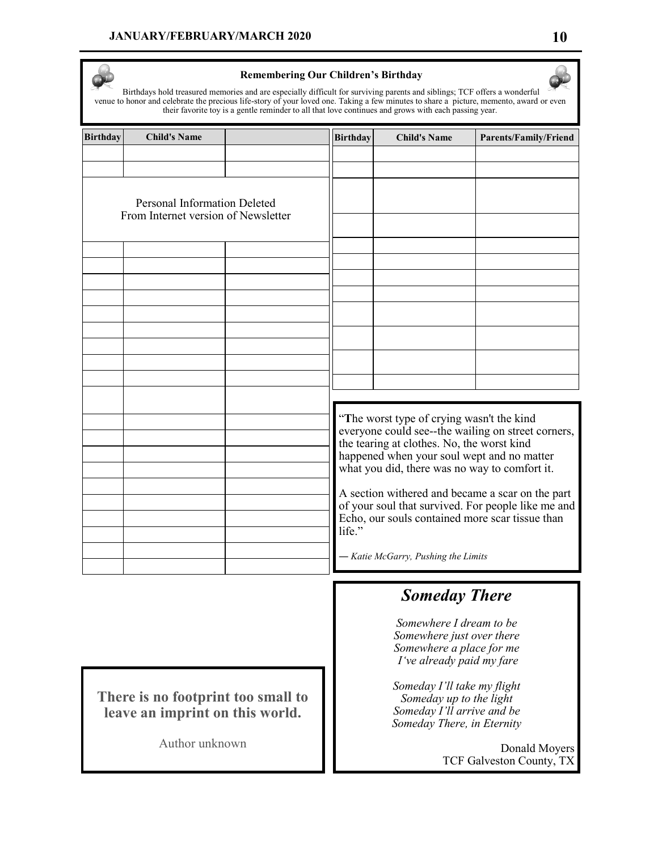

#### **Remembering Our Children's Birthday**

Birthdays hold treasured memories and are especially difficult for surviving parents and siblings; TCF offers a wonderful venue to honor and celebrate the precious life-story of your loved one. Taking a few minutes to share a picture, memento, award or even their favorite toy is a gentle reminder to all that love continues and grows with each passing year.

| <b>Birthday</b> | <b>Child's Name</b>                                                        |  | <b>Birthday</b>                                                                                                                                                     | <b>Child's Name</b> | <b>Parents/Family/Friend</b> |
|-----------------|----------------------------------------------------------------------------|--|---------------------------------------------------------------------------------------------------------------------------------------------------------------------|---------------------|------------------------------|
|                 |                                                                            |  |                                                                                                                                                                     |                     |                              |
|                 |                                                                            |  |                                                                                                                                                                     |                     |                              |
|                 | <b>Personal Information Deleted</b><br>From Internet version of Newsletter |  |                                                                                                                                                                     |                     |                              |
|                 |                                                                            |  |                                                                                                                                                                     |                     |                              |
|                 |                                                                            |  |                                                                                                                                                                     |                     |                              |
|                 |                                                                            |  |                                                                                                                                                                     |                     |                              |
|                 |                                                                            |  |                                                                                                                                                                     |                     |                              |
|                 |                                                                            |  |                                                                                                                                                                     |                     |                              |
|                 |                                                                            |  |                                                                                                                                                                     |                     |                              |
|                 |                                                                            |  |                                                                                                                                                                     |                     |                              |
|                 |                                                                            |  |                                                                                                                                                                     |                     |                              |
|                 |                                                                            |  |                                                                                                                                                                     |                     |                              |
|                 |                                                                            |  |                                                                                                                                                                     |                     |                              |
|                 |                                                                            |  | "The worst type of crying wasn't the kind<br>everyone could see--the wailing on street corners,<br>the tearing at clothes. No, the worst kind                       |                     |                              |
|                 |                                                                            |  | happened when your soul wept and no matter<br>what you did, there was no way to comfort it.                                                                         |                     |                              |
|                 |                                                                            |  |                                                                                                                                                                     |                     |                              |
|                 |                                                                            |  | A section withered and became a scar on the part<br>of your soul that survived. For people like me and<br>Echo, our souls contained more scar tissue than<br>life." |                     |                              |
|                 |                                                                            |  |                                                                                                                                                                     |                     |                              |
|                 |                                                                            |  | - Katie McGarry, Pushing the Limits                                                                                                                                 |                     |                              |

# *Someday There*

*Somewhere I dream to be Somewhere just over there Somewhere a place for me I've already paid my fare*

*Someday I'll take my flight Someday up to the light Someday I'll arrive and be Someday There, in Eternity*

> Donald Moyers TCF Galveston County, TX

Author unknown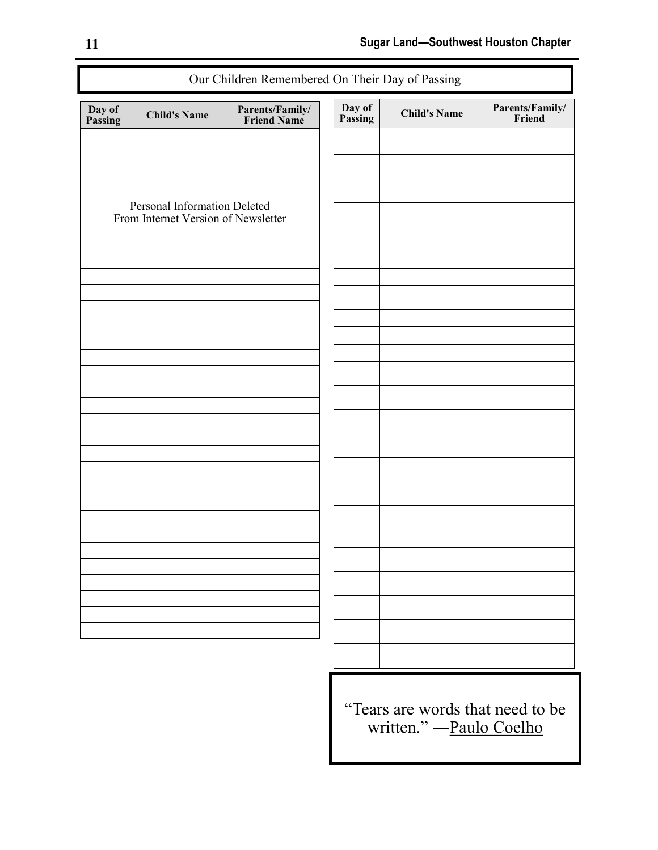| Our Children Remembered On Their Day of Passing |                                                                     |                                       |                   |                     |                           |
|-------------------------------------------------|---------------------------------------------------------------------|---------------------------------------|-------------------|---------------------|---------------------------|
| Day of<br>Passing                               | <b>Child's Name</b>                                                 | <b>Parents/Family/</b><br>Friend Name | Day of<br>Passing | <b>Child's Name</b> | Parents/Family/<br>Friend |
|                                                 |                                                                     |                                       |                   |                     |                           |
|                                                 |                                                                     |                                       |                   |                     |                           |
|                                                 |                                                                     |                                       |                   |                     |                           |
|                                                 | Personal Information Deleted<br>From Internet Version of Newsletter |                                       |                   |                     |                           |
|                                                 |                                                                     |                                       |                   |                     |                           |
|                                                 |                                                                     |                                       |                   |                     |                           |
|                                                 |                                                                     |                                       |                   |                     |                           |
|                                                 |                                                                     |                                       |                   |                     |                           |
|                                                 |                                                                     |                                       |                   |                     |                           |
|                                                 |                                                                     |                                       |                   |                     |                           |
|                                                 |                                                                     |                                       |                   |                     |                           |
|                                                 |                                                                     |                                       |                   |                     |                           |
|                                                 |                                                                     |                                       |                   |                     |                           |
|                                                 |                                                                     |                                       |                   |                     |                           |
|                                                 |                                                                     |                                       |                   |                     |                           |
|                                                 |                                                                     |                                       |                   |                     |                           |
|                                                 |                                                                     |                                       |                   |                     |                           |
|                                                 |                                                                     |                                       |                   |                     |                           |
|                                                 |                                                                     |                                       |                   |                     |                           |
|                                                 |                                                                     |                                       |                   |                     |                           |
|                                                 |                                                                     |                                       |                   |                     |                           |
|                                                 |                                                                     |                                       |                   |                     |                           |
|                                                 |                                                                     |                                       |                   |                     |                           |

"Tears are words that need to be written." — [Paulo Coelho](http://paulocoelhoblog.com/)